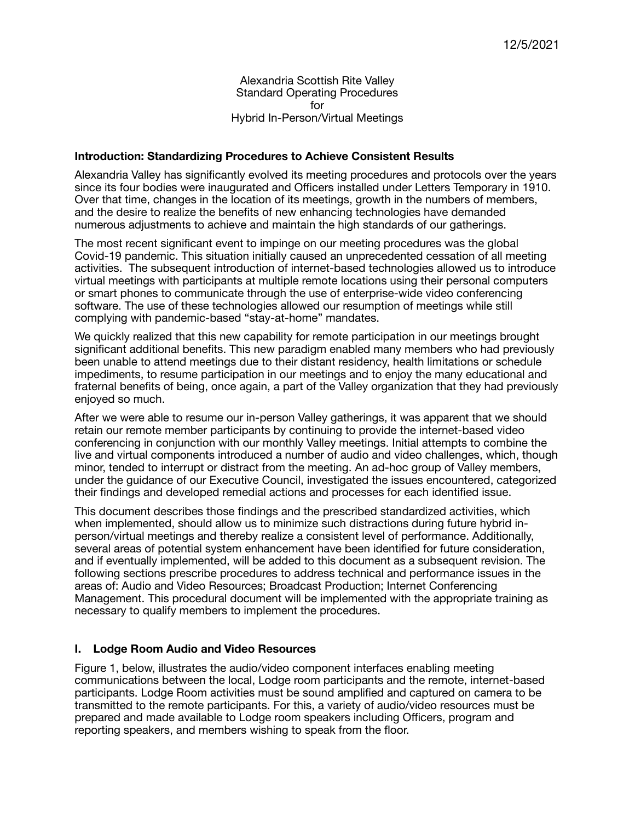Alexandria Scottish Rite Valley Standard Operating Procedures for Hybrid In-Person/Virtual Meetings

### **Introduction: Standardizing Procedures to Achieve Consistent Results**

Alexandria Valley has significantly evolved its meeting procedures and protocols over the years since its four bodies were inaugurated and Officers installed under Letters Temporary in 1910. Over that time, changes in the location of its meetings, growth in the numbers of members, and the desire to realize the benefits of new enhancing technologies have demanded numerous adjustments to achieve and maintain the high standards of our gatherings.

The most recent significant event to impinge on our meeting procedures was the global Covid-19 pandemic. This situation initially caused an unprecedented cessation of all meeting activities. The subsequent introduction of internet-based technologies allowed us to introduce virtual meetings with participants at multiple remote locations using their personal computers or smart phones to communicate through the use of enterprise-wide video conferencing software. The use of these technologies allowed our resumption of meetings while still complying with pandemic-based "stay-at-home" mandates.

We quickly realized that this new capability for remote participation in our meetings brought significant additional benefits. This new paradigm enabled many members who had previously been unable to attend meetings due to their distant residency, health limitations or schedule impediments, to resume participation in our meetings and to enjoy the many educational and fraternal benefits of being, once again, a part of the Valley organization that they had previously enjoyed so much.

After we were able to resume our in-person Valley gatherings, it was apparent that we should retain our remote member participants by continuing to provide the internet-based video conferencing in conjunction with our monthly Valley meetings. Initial attempts to combine the live and virtual components introduced a number of audio and video challenges, which, though minor, tended to interrupt or distract from the meeting. An ad-hoc group of Valley members, under the guidance of our Executive Council, investigated the issues encountered, categorized their findings and developed remedial actions and processes for each identified issue.

This document describes those findings and the prescribed standardized activities, which when implemented, should allow us to minimize such distractions during future hybrid inperson/virtual meetings and thereby realize a consistent level of performance. Additionally, several areas of potential system enhancement have been identified for future consideration, and if eventually implemented, will be added to this document as a subsequent revision. The following sections prescribe procedures to address technical and performance issues in the areas of: Audio and Video Resources; Broadcast Production; Internet Conferencing Management. This procedural document will be implemented with the appropriate training as necessary to qualify members to implement the procedures.

# **I. Lodge Room Audio and Video Resources**

Figure 1, below, illustrates the audio/video component interfaces enabling meeting communications between the local, Lodge room participants and the remote, internet-based participants. Lodge Room activities must be sound amplified and captured on camera to be transmitted to the remote participants. For this, a variety of audio/video resources must be prepared and made available to Lodge room speakers including Officers, program and reporting speakers, and members wishing to speak from the floor.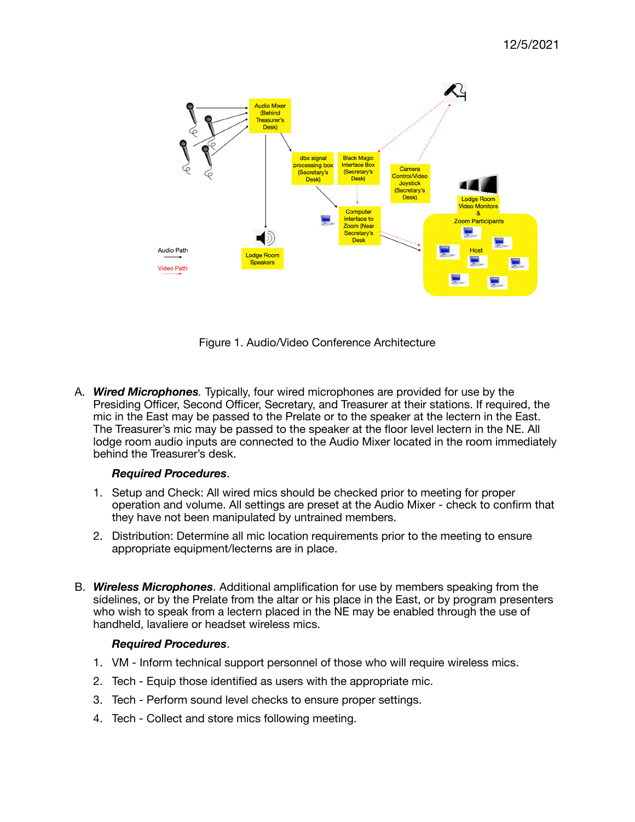

Figure 1. Audio/Video Conference Architecture

A. *Wired Microphones.* Typically, four wired microphones are provided for use by the Presiding Officer, Second Officer, Secretary, and Treasurer at their stations. If required, the mic in the East may be passed to the Prelate or to the speaker at the lectern in the East. The Treasurer's mic may be passed to the speaker at the floor level lectern in the NE. All lodge room audio inputs are connected to the Audio Mixer located in the room immediately behind the Treasurer's desk.

# *Required Procedures*.

- 1. Setup and Check: All wired mics should be checked prior to meeting for proper operation and volume. All settings are preset at the Audio Mixer - check to confirm that they have not been manipulated by untrained members.
- 2. Distribution: Determine all mic location requirements prior to the meeting to ensure appropriate equipment/lecterns are in place.
- B. *Wireless Microphones*. Additional amplification for use by members speaking from the sidelines, or by the Prelate from the altar or his place in the East, or by program presenters who wish to speak from a lectern placed in the NE may be enabled through the use of handheld, lavaliere or headset wireless mics.

### *Required Procedures*.

- 1. VM Inform technical support personnel of those who will require wireless mics.
- 2. Tech Equip those identified as users with the appropriate mic.
- 3. Tech Perform sound level checks to ensure proper settings.
- 4. Tech Collect and store mics following meeting.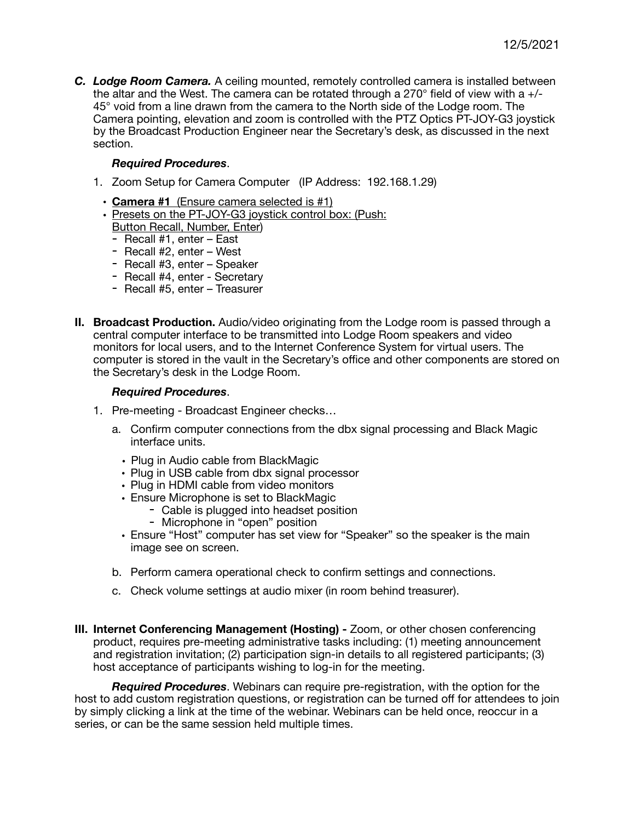*C. Lodge Room Camera.* A ceiling mounted, remotely controlled camera is installed between the altar and the West. The camera can be rotated through a  $270^{\circ}$  field of view with a  $+/-$ 45° void from a line drawn from the camera to the North side of the Lodge room. The Camera pointing, elevation and zoom is controlled with the PTZ Optics PT-JOY-G3 joystick by the Broadcast Production Engineer near the Secretary's desk, as discussed in the next section.

### *Required Procedures*.

- 1. Zoom Setup for Camera Computer (IP Address: 192.168.1.29)
	- **Camera #1** (Ensure camera selected is #1)
	- Presets on the PT-JOY-G3 joystick control box: (Push: Button Recall, Number, Enter)
		- Recall #1, enter East
		- Recall #2, enter West
		- Recall #3, enter Speaker
		- Recall #4, enter Secretary
		- Recall #5, enter Treasurer
- **II. Broadcast Production.** Audio/video originating from the Lodge room is passed through a central computer interface to be transmitted into Lodge Room speakers and video monitors for local users, and to the Internet Conference System for virtual users. The computer is stored in the vault in the Secretary's office and other components are stored on the Secretary's desk in the Lodge Room.

#### *Required Procedures*.

- 1. Pre-meeting Broadcast Engineer checks…
	- a. Confirm computer connections from the dbx signal processing and Black Magic interface units.
		- Plug in Audio cable from BlackMagic
		- Plug in USB cable from dbx signal processor
		- Plug in HDMI cable from video monitors
		- Ensure Microphone is set to BlackMagic
			- Cable is plugged into headset position
			- Microphone in "open" position
		- Ensure "Host" computer has set view for "Speaker" so the speaker is the main image see on screen.
	- b. Perform camera operational check to confirm settings and connections.
	- c. Check volume settings at audio mixer (in room behind treasurer).
- **III. Internet Conferencing Management (Hosting) Zoom, or other chosen conferencing** product, requires pre-meeting administrative tasks including: (1) meeting announcement and registration invitation; (2) participation sign-in details to all registered participants; (3) host acceptance of participants wishing to log-in for the meeting.

*Required Procedures*. Webinars can require pre-registration, with the option for the host to add custom registration questions, or registration can be turned off for attendees to join by simply clicking a link at the time of the webinar. Webinars can be held once, reoccur in a series, or can be the same session held multiple times.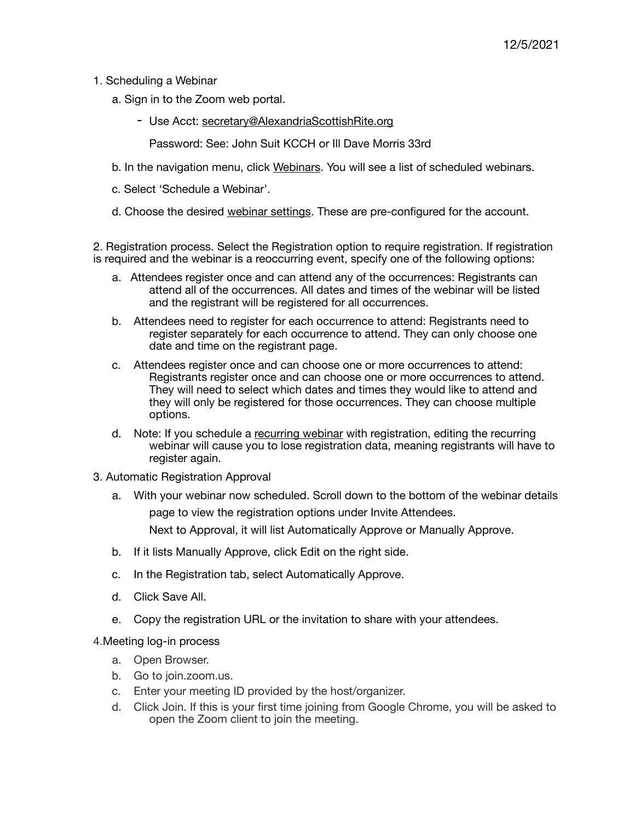- 1. Scheduling a Webinar
	- a. Sign in to the Zoom web portal.
		- Use Acct: [secretary@AlexandriaScottishRite.org](mailto:secretary@AlexandriaScottishRite.org)

Password: See: John Suit KCCH or Ill Dave Morris 33rd

- b. In the navigation menu, click [Webinars](https://zoom.us/webinar/list). You will see a list of scheduled webinars.
- c. Select 'Schedule a Webinar'.
- d. Choose the desired [webinar settings.](https://support.zoom.us/hc/en-us/articles/204619235%22%20%5Ct%20%22_self) These are pre-configured for the account.

2. Registration process. Select the Registration option to require registration. If registration is required and the webinar is a reoccurring event, specify one of the following options:

- a. Attendees register once and can attend any of the occurrences: Registrants can attend all of the occurrences. All dates and times of the webinar will be listed and the registrant will be registered for all occurrences.
- b. Attendees need to register for each occurrence to attend: Registrants need to register separately for each occurrence to attend. They can only choose one date and time on the registrant page.
- c. Attendees register once and can choose one or more occurrences to attend: Registrants register once and can choose one or more occurrences to attend. They will need to select which dates and times they would like to attend and they will only be registered for those occurrences. They can choose multiple options.
- d. Note: If you schedule a [recurring webinar](https://support.zoom.us/hc/en-us/articles/216354763%22%20%5Ct%20%22_self) with registration, editing the recurring webinar will cause you to lose registration data, meaning registrants will have to register again.
- 3. Automatic Registration Approval
	- a. With your webinar now scheduled. Scroll down to the bottom of the webinar details page to view the registration options under Invite Attendees. Next to Approval, it will list Automatically Approve or Manually Approve.
	- b. If it lists Manually Approve, click Edit on the right side.
	- c. In the Registration tab, select Automatically Approve.
	- d. Click Save All.
	- e. Copy the registration URL or the invitation to share with your attendees.

4.Meeting log-in process

- a. Open Browser.
- b. Go to join.zoom.us.
- c. Enter your meeting ID provided by the host/organizer.
- d. Click Join. If this is your first time joining from Google Chrome, you will be asked to open the Zoom client to join the meeting.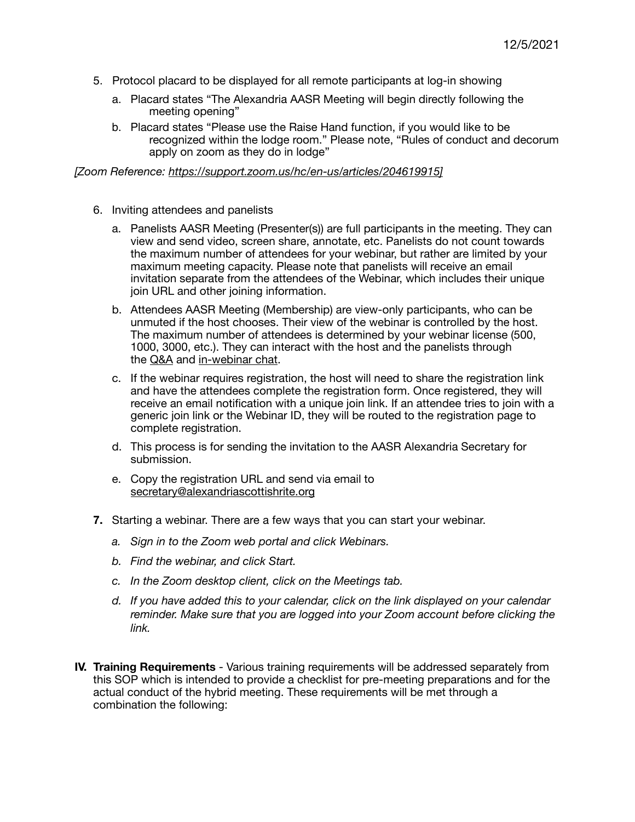- 5. Protocol placard to be displayed for all remote participants at log-in showing
	- a. Placard states "The Alexandria AASR Meeting will begin directly following the meeting opening"
	- b. Placard states "Please use the Raise Hand function, if you would like to be recognized within the lodge room." Please note, "Rules of conduct and decorum apply on zoom as they do in lodge"

*[Zoom Reference: <https://support.zoom.us/hc/en-us/articles/204619915>]* 

- 6. Inviting attendees and panelists
	- a. Panelists AASR Meeting (Presenter(s)) are full participants in the meeting. They can view and send video, screen share, annotate, etc. Panelists do not count towards the maximum number of attendees for your webinar, but rather are limited by your maximum meeting capacity. Please note that panelists will receive an email invitation separate from the attendees of the Webinar, which includes their unique join URL and other joining information.
	- b. Attendees AASR Meeting (Membership) are view-only participants, who can be unmuted if the host chooses. Their view of the webinar is controlled by the host. The maximum number of attendees is determined by your webinar license (500, 1000, 3000, etc.). They can interact with the host and the panelists through the [Q&A](https://support.zoom.us/hc/en-us/articles/203686015%22%20%5Ct%20%22_self) and [in-webinar chat.](https://support.zoom.us/hc/en-us/articles/205761999%22%20%5Ct%20%22_self)
	- c. If the webinar requires registration, the host will need to share the registration link and have the attendees complete the registration form. Once registered, they will receive an email notification with a unique join link. If an attendee tries to join with a generic join link or the Webinar ID, they will be routed to the registration page to complete registration.
	- d. This process is for sending the invitation to the AASR Alexandria Secretary for submission.
	- e. Copy the registration URL and send via email to [secretary@alexandriascottishrite.org](mailto:secretary@alexandriascottishrite.org)
- **7.** Starting a webinar. There are a few ways that you can start your webinar.
	- *a. Sign in to the Zoom web portal and click Webinars.*
	- *b. Find the webinar, and click Start.*
	- *c. In the Zoom desktop client, click on the Meetings tab.*
	- *d. If you have added this to your calendar, click on the link displayed on your calendar reminder. Make sure that you are logged into your Zoom account before clicking the link.*
- **IV. Training Requirements**  Various training requirements will be addressed separately from this SOP which is intended to provide a checklist for pre-meeting preparations and for the actual conduct of the hybrid meeting. These requirements will be met through a combination the following: